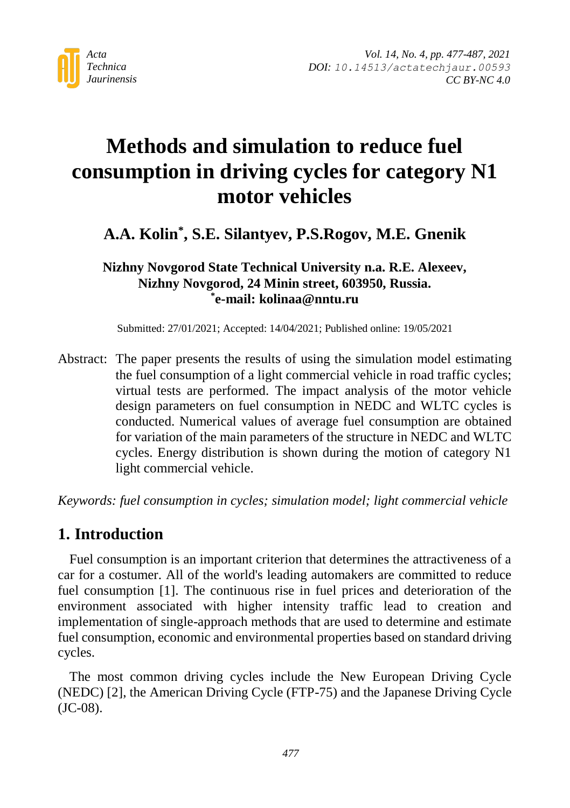

# **Methods and simulation to reduce fuel consumption in driving cycles for category N1 motor vehicles**

# **A.A. Kolin\* , S.E. Silantyev, P.S.Rogov, M.E. Gnenik**

**Nizhny Novgorod State Technical University n.a. R.E. Alexeev, Nizhny Novgorod, 24 Minin street, 603950, Russia. \* e-mail: kolinaa@nntu.ru**

Submitted: 27/01/2021; Accepted: 14/04/2021; Published online: 19/05/2021

Abstract: The paper presents the results of using the simulation model estimating the fuel consumption of a light commercial vehicle in road traffic cycles; virtual tests are performed. The impact analysis of the motor vehicle design parameters on fuel consumption in NEDC and WLTC cycles is conducted. Numerical values of average fuel consumption are obtained for variation of the main parameters of the structure in NEDC and WLTC cycles. Energy distribution is shown during the motion of category N1 light commercial vehicle.

*Keywords: fuel consumption in cycles; simulation model; light commercial vehicle*

### **1. Introduction**

Fuel consumption is an important criterion that determines the attractiveness of a car for a costumer. All of the world's leading automakers are committed to reduce fuel consumption [1]. The continuous rise in fuel prices and deterioration of the environment associated with higher intensity traffic lead to creation and implementation of single-approach methods that are used to determine and estimate fuel consumption, economic and environmental properties based on standard driving cycles.

The most common driving cycles include the New European Driving Cycle (NEDC) [2], the American Driving Cycle (FTP-75) and the Japanese Driving Cycle (JC-08).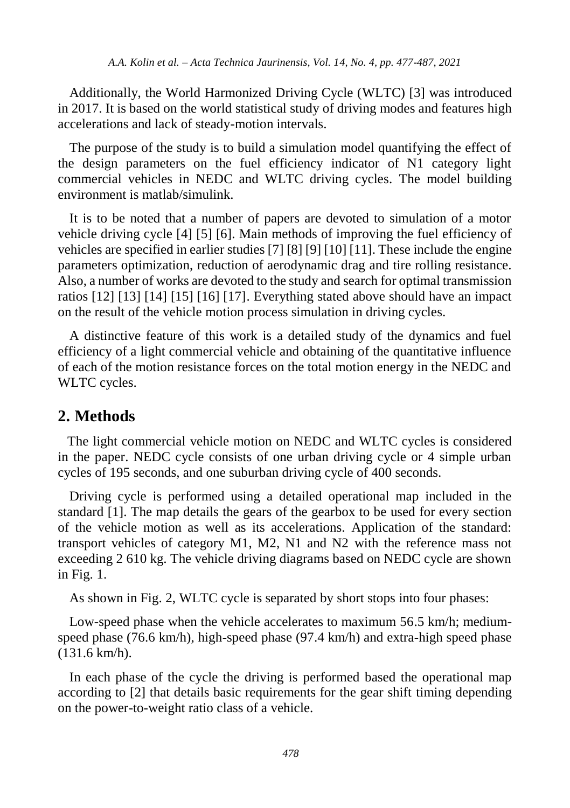Additionally, the World Harmonized Driving Cycle (WLTC) [3] was introduced in 2017. It is based on the world statistical study of driving modes and features high accelerations and lack of steady-motion intervals.

The purpose of the study is to build a simulation model quantifying the effect of the design parameters on the fuel efficiency indicator of N1 category light commercial vehicles in NEDC and WLTC driving cycles. The model building environment is matlab/simulink.

It is to be noted that a number of papers are devoted to simulation of a motor vehicle driving cycle [4] [5] [6]. Main methods of improving the fuel efficiency of vehicles are specified in earlier studies [7] [8] [9] [10] [11]. These include the engine parameters optimization, reduction of aerodynamic drag and tire rolling resistance. Also, a number of works are devoted to the study and search for optimal transmission ratios [12] [13] [14] [15] [16] [17]. Everything stated above should have an impact on the result of the vehicle motion process simulation in driving cycles.

A distinctive feature of this work is a detailed study of the dynamics and fuel efficiency of a light commercial vehicle and obtaining of the quantitative influence of each of the motion resistance forces on the total motion energy in the NEDC and WLTC cycles.

### **2. Methods**

The light commercial vehicle motion on NEDC and WLTC cycles is considered in the paper. NEDC cycle consists of one urban driving cycle or 4 simple urban cycles of 195 seconds, and one suburban driving cycle of 400 seconds.

Driving cycle is performed using a detailed operational map included in the standard [1]. The map details the gears of the gearbox to be used for every section of the vehicle motion as well as its accelerations. Application of the standard: transport vehicles of category M1, M2, N1 and N2 with the reference mass not exceeding 2 610 kg. The vehicle driving diagrams based on NEDC cycle are shown in Fig. 1.

As shown in Fig. 2, WLTC cycle is separated by short stops into four phases:

Low-speed phase when the vehicle accelerates to maximum 56.5 km/h; mediumspeed phase (76.6 km/h), high-speed phase (97.4 km/h) and extra-high speed phase (131.6 km/h).

In each phase of the cycle the driving is performed based the operational map according to [2] that details basic requirements for the gear shift timing depending on the power-to-weight ratio class of a vehicle.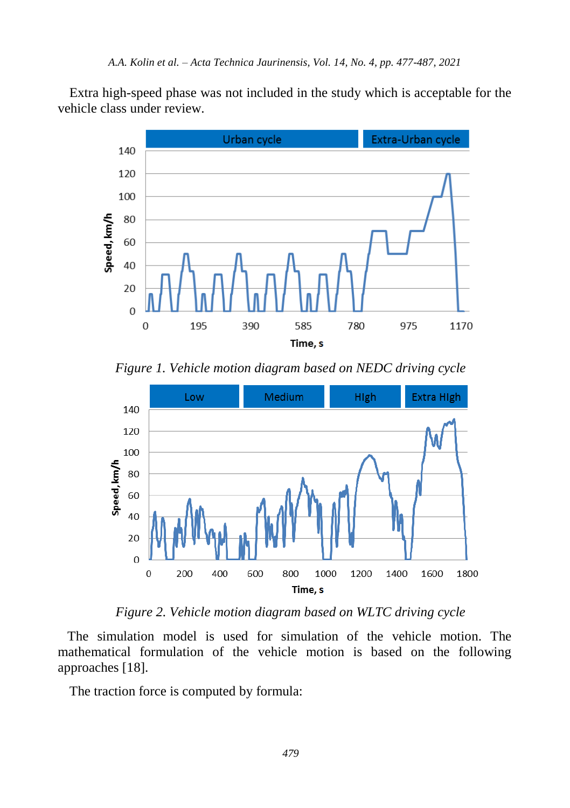Extra high-speed phase was not included in the study which is acceptable for the vehicle class under review.



*Figure 1. Vehicle motion diagram based on NEDC driving cycle*



*Figure 2. Vehicle motion diagram based on WLTC driving cycle*

The simulation model is used for simulation of the vehicle motion. The mathematical formulation of the vehicle motion is based on the following approaches [18].

The traction force is computed by formula: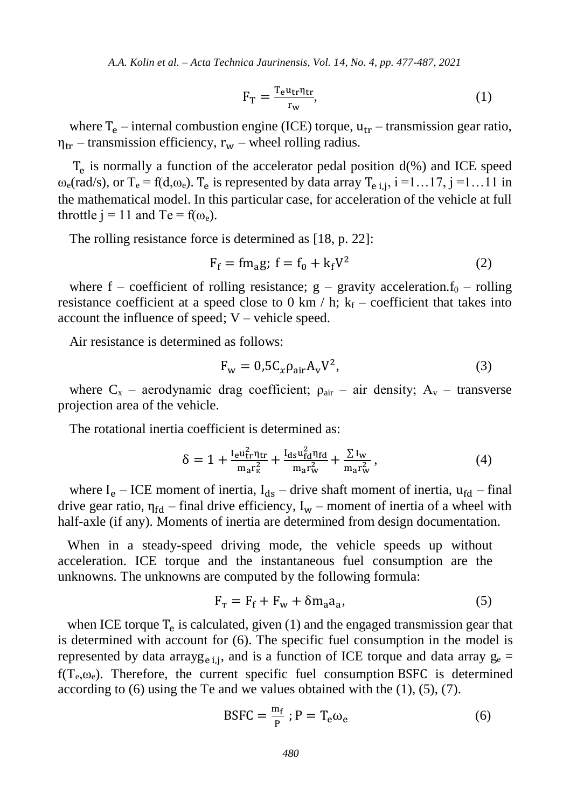*A.A. Kolin et al. – Acta Technica Jaurinensis, Vol. 14, No. 4, pp. 477-487, 2021*

$$
F_T = \frac{T_e u_{tr} \eta_{tr}}{r_w},\tag{1}
$$

where  $T_e$  – internal combustion engine (ICE) torque,  $u_{tr}$  – transmission gear ratio,  $\eta_{tr}$  – transmission efficiency,  $r_w$  – wheel rolling radius.

 $T_e$  is normally a function of the accelerator pedal position  $d$ (%) and ICE speed  $\omega_e$ (rad/s), or T<sub>e</sub> = f(d, $\omega_e$ ). T<sub>e</sub> is represented by data array T<sub>e i,j</sub>, i =1...17, j =1...11 in the mathematical model. In this particular case, for acceleration of the vehicle at full throttle  $j = 11$  and Te =  $f(\omega_e)$ .

The rolling resistance force is determined as [18, p. 22]:

$$
F_f = fm_a g; f = f_0 + k_f V^2 \tag{2}
$$

where  $f$  – coefficient of rolling resistance;  $g$  – gravity acceleration. $f_0$  – rolling resistance coefficient at a speed close to 0 km / h;  $k_f$  – coefficient that takes into account the influence of speed;  $V$  – vehicle speed.

Air resistance is determined as follows:

$$
F_w = 0.5 C_x \rho_{air} A_v V^2, \qquad (3)
$$

where  $C_x$  – aerodynamic drag coefficient;  $\rho_{air}$  – air density;  $A_y$  – transverse projection area of the vehicle.

The rotational inertia coefficient is determined as:

$$
\delta = 1 + \frac{I_{e}u_{tr}^{2}\eta_{tr}}{m_{a}r_{K}^{2}} + \frac{I_{ds}u_{fd}^{2}\eta_{fd}}{m_{a}r_{w}^{2}} + \frac{\Sigma I_{w}}{m_{a}r_{w}^{2}},
$$
\n(4)

where  $I_e$  – ICE moment of inertia,  $I_{ds}$  – drive shaft moment of inertia,  $u_{fd}$  – final drive gear ratio,  $\eta_{fd}$  – final drive efficiency,  $I_w$  – moment of inertia of a wheel with half-axle (if any). Moments of inertia are determined from design documentation.

When in a steady-speed driving mode, the vehicle speeds up without acceleration. ICE torque and the instantaneous fuel consumption are the unknowns. The unknowns are computed by the following formula:

$$
F_{\rm T} = F_{\rm f} + F_{\rm w} + \delta m_{\rm a} a_{\rm a},\tag{5}
$$

when ICE torque  $T_e$  is calculated, given (1) and the engaged transmission gear that is determined with account for (6). The specific fuel consumption in the model is represented by data arrayg<sub>e i,j</sub>, and is a function of ICE torque and data array  $g_e$  =  $f(T_e, \omega_e)$ . Therefore, the current specific fuel consumption BSFC is determined according to  $(6)$  using the Te and we values obtained with the  $(1)$ ,  $(5)$ ,  $(7)$ .

$$
BSFC = \frac{m_f}{P}; P = T_e \omega_e \tag{6}
$$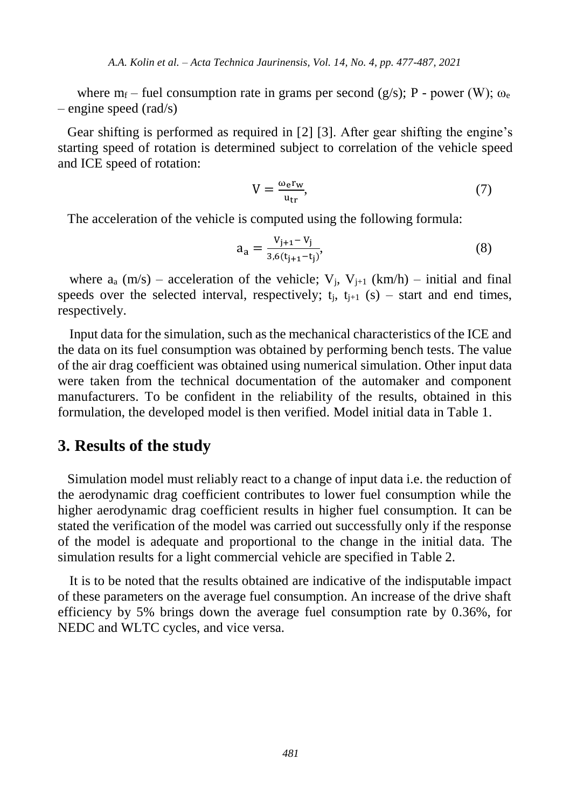where  $m_f$  – fuel consumption rate in grams per second (g/s); P - power (W);  $\omega_e$ – engine speed (rad/s)

Gear shifting is performed as required in [2] [3]. After gear shifting the engine's starting speed of rotation is determined subject to correlation of the vehicle speed and ICE speed of rotation:

$$
V = \frac{\omega_{\rm e} r_{\rm w}}{u_{\rm tr}},\tag{7}
$$

The acceleration of the vehicle is computed using the following formula:

$$
a_{a} = \frac{v_{j+1} - v_{j}}{3.6(t_{j+1} - t_{j})},\tag{8}
$$

where  $a_a$  (m/s) – acceleration of the vehicle;  $V_i$ ,  $V_{i+1}$  (km/h) – initial and final speeds over the selected interval, respectively;  $t_i$ ,  $t_{i+1}$  (s) – start and end times, respectively.

Input data for the simulation, such as the mechanical characteristics of the ICE and the data on its fuel consumption was obtained by performing bench tests. The value of the air drag coefficient was obtained using numerical simulation. Other input data were taken from the technical documentation of the automaker and component manufacturers. To be confident in the reliability of the results, obtained in this formulation, the developed model is then verified. Model initial data in Table 1.

#### **3. Results of the study**

Simulation model must reliably react to a change of input data i.e. the reduction of the aerodynamic drag coefficient contributes to lower fuel consumption while the higher aerodynamic drag coefficient results in higher fuel consumption. It can be stated the verification of the model was carried out successfully only if the response of the model is adequate and proportional to the change in the initial data. The simulation results for a light commercial vehicle are specified in Table 2.

It is to be noted that the results obtained are indicative of the indisputable impact of these parameters on the average fuel consumption. An increase of the drive shaft efficiency by 5% brings down the average fuel consumption rate by 0.36%, for NEDC and WLTC cycles, and vice versa.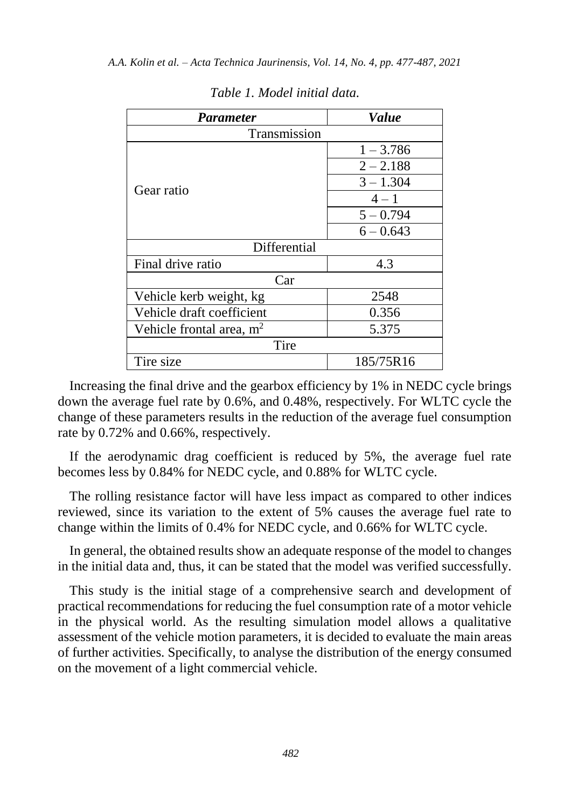| <b>Parameter</b>           | Value       |  |  |  |  |
|----------------------------|-------------|--|--|--|--|
| Transmission               |             |  |  |  |  |
|                            | $1 - 3.786$ |  |  |  |  |
|                            | $2 - 2.188$ |  |  |  |  |
| Gear ratio                 | $3 - 1.304$ |  |  |  |  |
|                            | $4 - 1$     |  |  |  |  |
|                            | $5 - 0.794$ |  |  |  |  |
|                            | $6 - 0.643$ |  |  |  |  |
| Differential               |             |  |  |  |  |
| Final drive ratio          | 4.3         |  |  |  |  |
| Car                        |             |  |  |  |  |
| Vehicle kerb weight, kg    | 2548        |  |  |  |  |
| Vehicle draft coefficient  | 0.356       |  |  |  |  |
| Vehicle frontal area, $m2$ | 5.375       |  |  |  |  |
| Tire                       |             |  |  |  |  |
| Tire size                  | 185/75R16   |  |  |  |  |

*Table 1. Model initial data.*

Increasing the final drive and the gearbox efficiency by 1% in NEDC cycle brings down the average fuel rate by 0.6%, and 0.48%, respectively. For WLTC cycle the change of these parameters results in the reduction of the average fuel consumption rate by 0.72% and 0.66%, respectively.

If the aerodynamic drag coefficient is reduced by 5%, the average fuel rate becomes less by 0.84% for NEDC cycle, and 0.88% for WLTC cycle.

The rolling resistance factor will have less impact as compared to other indices reviewed, since its variation to the extent of 5% causes the average fuel rate to change within the limits of 0.4% for NEDC cycle, and 0.66% for WLTC cycle.

In general, the obtained results show an adequate response of the model to changes in the initial data and, thus, it can be stated that the model was verified successfully.

This study is the initial stage of a comprehensive search and development of practical recommendations for reducing the fuel consumption rate of a motor vehicle in the physical world. As the resulting simulation model allows a qualitative assessment of the vehicle motion parameters, it is decided to evaluate the main areas of further activities. Specifically, to analyse the distribution of the energy consumed on the movement of a light commercial vehicle.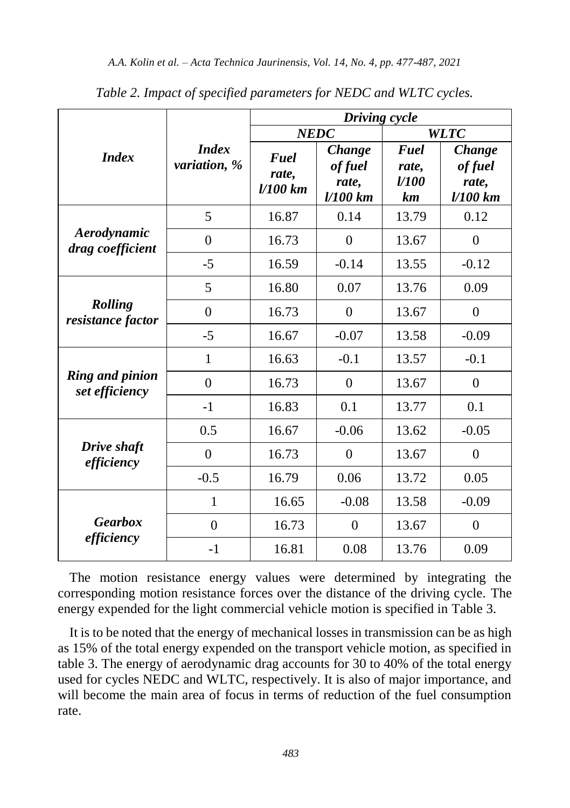|                                          |                              | Driving cycle             |                                          |                                           |                                        |
|------------------------------------------|------------------------------|---------------------------|------------------------------------------|-------------------------------------------|----------------------------------------|
| <b>Index</b>                             | <b>Index</b><br>variation, % | <b>NEDC</b>               |                                          | <b>WLTC</b>                               |                                        |
|                                          |                              | Fuel<br>rate,<br>l/100 km | Change<br>of fuel<br>rate,<br>$1/100$ km | Fuel<br>rate,<br><i><b>U100</b></i><br>km | Change<br>of fuel<br>rate,<br>l/100 km |
| Aerodynamic<br>drag coefficient          | 5                            | 16.87                     | 0.14                                     | 13.79                                     | 0.12                                   |
|                                          | $\theta$                     | 16.73                     | $\Omega$                                 | 13.67                                     | $\Omega$                               |
|                                          | $-5$                         | 16.59                     | $-0.14$                                  | 13.55                                     | $-0.12$                                |
| Rolling<br>resistance factor             | 5                            | 16.80                     | 0.07                                     | 13.76                                     | 0.09                                   |
|                                          | $\boldsymbol{0}$             | 16.73                     | $\theta$                                 | 13.67                                     | $\mathbf{0}$                           |
|                                          | $-5$                         | 16.67                     | $-0.07$                                  | 13.58                                     | $-0.09$                                |
| <b>Ring and pinion</b><br>set efficiency | 1                            | 16.63                     | $-0.1$                                   | 13.57                                     | $-0.1$                                 |
|                                          | $\theta$                     | 16.73                     | $\theta$                                 | 13.67                                     | $\theta$                               |
|                                          | $-1$                         | 16.83                     | 0.1                                      | 13.77                                     | 0.1                                    |
| Drive shaft<br>efficiency                | 0.5                          | 16.67                     | $-0.06$                                  | 13.62                                     | $-0.05$                                |
|                                          | $\theta$                     | 16.73                     | $\theta$                                 | 13.67                                     | $\theta$                               |
|                                          | $-0.5$                       | 16.79                     | 0.06                                     | 13.72                                     | 0.05                                   |
| <b>Gearbox</b><br>efficiency             | $\mathbf{1}$                 | 16.65                     | $-0.08$                                  | 13.58                                     | $-0.09$                                |
|                                          | $\theta$                     | 16.73                     | $\theta$                                 | 13.67                                     | $\theta$                               |
|                                          | $-1$                         | 16.81                     | 0.08                                     | 13.76                                     | 0.09                                   |

*Table 2. Impact of specified parameters for NEDC and WLTC cycles.*

The motion resistance energy values were determined by integrating the corresponding motion resistance forces over the distance of the driving cycle. The energy expended for the light commercial vehicle motion is specified in Table 3.

It is to be noted that the energy of mechanical losses in transmission can be as high as 15% of the total energy expended on the transport vehicle motion, as specified in table 3. The energy of aerodynamic drag accounts for 30 to 40% of the total energy used for cycles NEDC and WLTC, respectively. It is also of major importance, and will become the main area of focus in terms of reduction of the fuel consumption rate.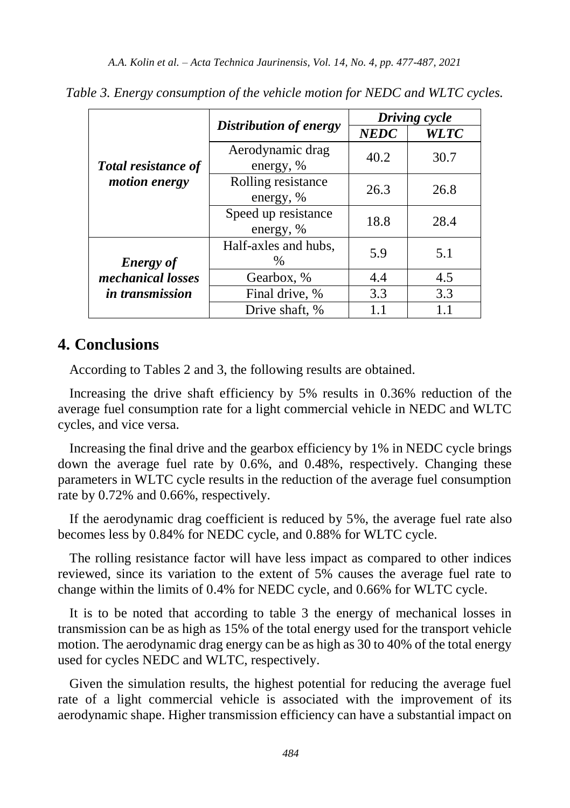|                                             |                                  | Driving cycle |             |  |
|---------------------------------------------|----------------------------------|---------------|-------------|--|
|                                             | Distribution of energy           | <b>NEDC</b>   | <b>WLTC</b> |  |
| <b>Total resistance of</b><br>motion energy | Aerodynamic drag                 | 40.2          | 30.7        |  |
|                                             | energy, %                        |               |             |  |
|                                             | Rolling resistance<br>energy, %  | 26.3          | 26.8        |  |
|                                             | Speed up resistance<br>energy, % | 18.8          | 28.4        |  |
| <b>Energy</b> of                            | Half-axles and hubs,<br>%        | 5.9           | 5.1         |  |
| mechanical losses<br><i>in transmission</i> | Gearbox, %                       | 4.5<br>4.4    |             |  |
|                                             | Final drive, %                   | 3.3           | 3.3         |  |
|                                             | Drive shaft, %                   |               |             |  |

*Table 3. Energy consumption of the vehicle motion for NEDC and WLTC cycles.*

### **4. Conclusions**

According to Tables 2 and 3, the following results are obtained.

Increasing the drive shaft efficiency by 5% results in 0.36% reduction of the average fuel consumption rate for a light commercial vehicle in NEDC and WLTC cycles, and vice versa.

Increasing the final drive and the gearbox efficiency by 1% in NEDC cycle brings down the average fuel rate by 0.6%, and 0.48%, respectively. Changing these parameters in WLTC cycle results in the reduction of the average fuel consumption rate by 0.72% and 0.66%, respectively.

If the aerodynamic drag coefficient is reduced by 5%, the average fuel rate also becomes less by 0.84% for NEDC cycle, and 0.88% for WLTC cycle.

The rolling resistance factor will have less impact as compared to other indices reviewed, since its variation to the extent of 5% causes the average fuel rate to change within the limits of 0.4% for NEDC cycle, and 0.66% for WLTC cycle.

It is to be noted that according to table 3 the energy of mechanical losses in transmission can be as high as 15% of the total energy used for the transport vehicle motion. The aerodynamic drag energy can be as high as 30 to 40% of the total energy used for cycles NEDC and WLTC, respectively.

Given the simulation results, the highest potential for reducing the average fuel rate of a light commercial vehicle is associated with the improvement of its aerodynamic shape. Higher transmission efficiency can have a substantial impact on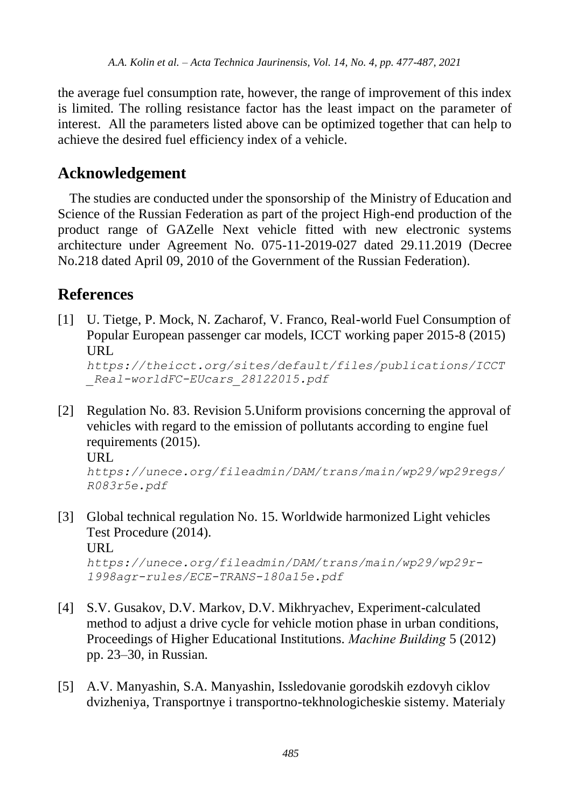the average fuel consumption rate, however, the range of improvement of this index is limited. The rolling resistance factor has the least impact on the parameter of interest. All the parameters listed above can be optimized together that can help to achieve the desired fuel efficiency index of a vehicle.

## **Acknowledgement**

The studies are conducted under the sponsorship of the Ministry of Education and Science of the Russian Federation as part of the project High-end production of the product range of GAZelle Next vehicle fitted with new electronic systems architecture under Agreement No. 075-11-2019-027 dated 29.11.2019 (Decree No.218 dated April 09, 2010 of the Government of the Russian Federation).

# **References**

[1] U. Tietge, P. Mock, N. Zacharof, V. Franco, Real-world Fuel Consumption of Popular European passenger car models, ICCT working paper 2015-8 (2015) URL

*https://theicct.org/sites/default/files/publications/ICCT \_Real-worldFC-EUcars\_28122015.pdf*

[2] Regulation No. 83. Revision 5.Uniform provisions concerning the approval of vehicles with regard to the emission of pollutants according to engine fuel requirements (2015).

URL

```
https://unece.org/fileadmin/DAM/trans/main/wp29/wp29regs/
R083r5e.pdf
```
- [3] Global technical regulation No. 15. Worldwide harmonized Light vehicles Test Procedure (2014). URL *https://unece.org/fileadmin/DAM/trans/main/wp29/wp29r-1998agr-rules/ECE-TRANS-180a15e.pdf*
- [4] S.V. Gusakov, D.V. Markov, D.V. Mikhryachev, Experiment-calculated method to adjust a drive cycle for vehicle motion phase in urban conditions, Proceedings of Higher Educational Institutions. *Маchine Building* 5 (2012) pp. 23–30, in Russian.
- [5] A.V. Manyashin, S.A. Manyashin, Issledovanie gorodskih ezdovyh ciklov dvizheniya, Transportnye i transportno-tekhnologicheskie sistemy. Materialy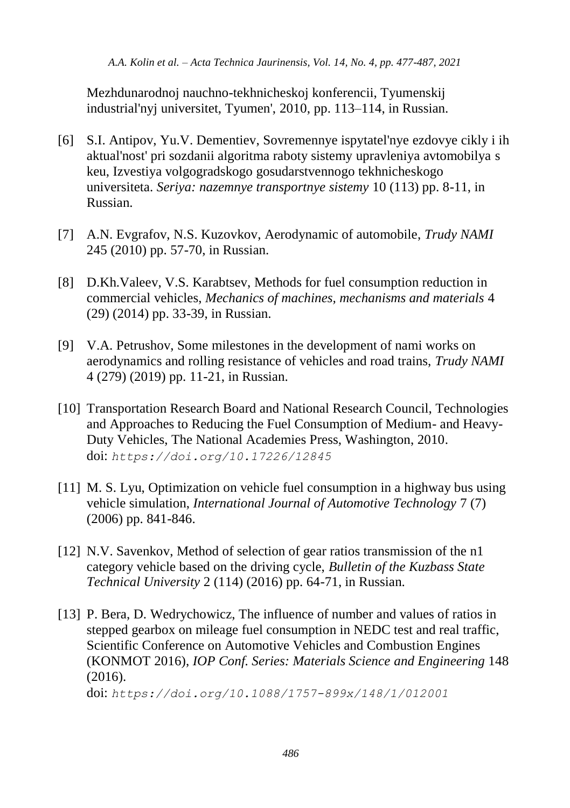Mezhdunarodnoj nauchno-tekhnicheskoj konferencii, Tyumenskij industrial'nyj universitet, Tyumen', 2010, pp. 113–114, in Russian.

- [6] S.I. Antipov, Yu.V. Dementiev, Sovremennye ispytatel'nye ezdovye cikly i ih aktual'nost' pri sozdanii algoritma raboty sistemy upravleniya avtomobilya s keu, Izvestiya volgogradskogo gosudarstvennogo tekhnicheskogo universiteta. *Seriya: nazemnye transportnye sistemy* 10 (113) pp. 8-11, in Russian.
- [7] A.N. Evgrafov, N.S. Kuzovkov, Aerodynamic of automobile, *Trudy NAMI* 245 (2010) pp. 57-70, in Russian.
- [8] D.Kh.Valeev, V.S. Karabtsev, Methods for fuel consumption reduction in commercial vehicles, *Mechanics of machines, mechanisms and materials* 4 (29) (2014) pp. 33-39, in Russian.
- [9] V.A. Petrushov, Some milestones in the development of nami works on aerodynamics and rolling resistance of vehicles and road trains, *Trudy NAMI* 4 (279) (2019) pp. 11-21, in Russian.
- [10] Transportation Research Board and National Research Council, Technologies and Approaches to Reducing the Fuel Consumption of Medium- and Heavy-Duty Vehicles, The National Academies Press, Washington, 2010. doi: *https://doi.org/10.17226/12845*
- [11] M. S. Lyu, Optimization on vehicle fuel consumption in a highway bus using vehicle simulation, *International Journal of Automotive Technology* 7 (7) (2006) pp. 841-846.
- [12] N.V. Savenkov, Method of selection of gear ratios transmission of the n1 category vehicle based on the driving cycle, *Bulletin of the Kuzbass State Technical University* 2 (114) (2016) pp. 64-71, in Russian.
- [13] P. Bera, D. Wedrychowicz, The influence of number and values of ratios in stepped gearbox on mileage fuel consumption in NEDC test and real traffic, Scientific Conference on Automotive Vehicles and Combustion Engines (KONMOT 2016), *IOP Conf. Series: Materials Science and Engineering* 148 (2016).

doi: *https://doi.org/10.1088/1757-899x/148/1/012001*